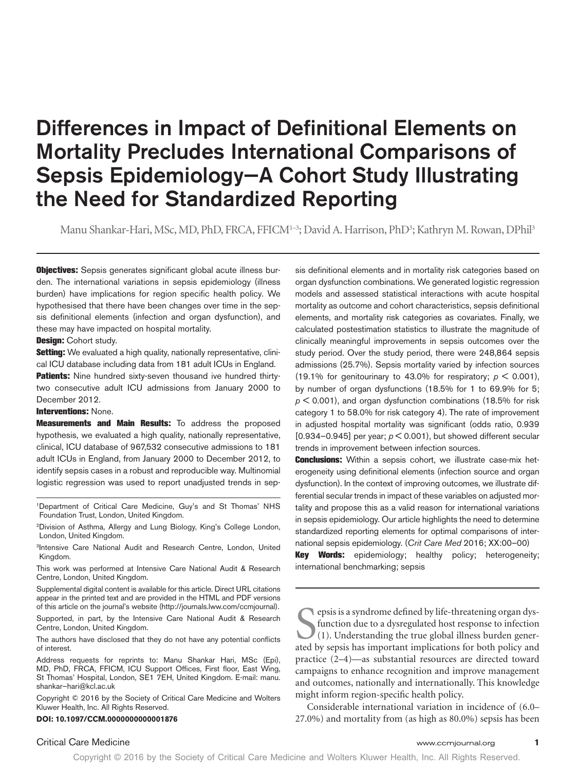# Differences in Impact of Definitional Elements on Mortality Precludes International Comparisons of Sepsis Epidemiology—A Cohort Study Illustrating the Need for Standardized Reporting

Manu Shankar-Hari, MSc, MD, PhD, FRCA, FFICM<sup>1-3</sup>; David A. Harrison, PhD<sup>3</sup>; Kathryn M. Rowan, DPhil<sup>3</sup>

**Objectives:** Sepsis generates significant global acute illness burden. The international variations in sepsis epidemiology (illness burden) have implications for region specific health policy. We hypothesised that there have been changes over time in the sepsis definitional elements (infection and organ dysfunction), and these may have impacted on hospital mortality.

#### **Design: Cohort study.**

**Setting:** We evaluated a high quality, nationally representative, clinical ICU database including data from 181 adult ICUs in England.

**Patients:** Nine hundred sixty-seven thousand ive hundred thirtytwo consecutive adult ICU admissions from January 2000 to December 2012.

# Interventions: None.

Measurements and Main Results: To address the proposed hypothesis, we evaluated a high quality, nationally representative, clinical, ICU database of 967,532 consecutive admissions to 181 adult ICUs in England, from January 2000 to December 2012, to identify sepsis cases in a robust and reproducible way. Multinomial logistic regression was used to report unadjusted trends in sep-

1Department of Critical Care Medicine, Guy's and St Thomas' NHS Foundation Trust, London, United Kingdom.

2Division of Asthma, Allergy and Lung Biology, King's College London, London, United Kingdom.

3Intensive Care National Audit and Research Centre, London, United Kingdom.

This work was performed at Intensive Care National Audit & Research Centre, London, United Kingdom.

Supplemental digital content is available for this article. Direct URL citations appear in the printed text and are provided in the HTML and PDF versions of this article on the journal's website [\(http://journals.lww.com/ccmjournal\)](http://journals.lww.com/ccmjournal).

Supported, in part, by the Intensive Care National Audit & Research Centre, London, United Kingdom.

The authors have disclosed that they do not have any potential conflicts of interest.

Address requests for reprints to: Manu Shankar Hari, MSc (Epi), MD, PhD, FRCA, FFICM, ICU Support Offices, First floor, East Wing, St Thomas' Hospital, London, SE1 7EH, United Kingdom. E-mail: [manu.](mailto:manu.shankar�hari@kcl.ac.uk) [shankar–hari@kcl.ac.uk](mailto:manu.shankar�hari@kcl.ac.uk)

Copyright © 2016 by the Society of Critical Care Medicine and Wolters Kluwer Health, Inc. All Rights Reserved.

#### **DOI: 10.1097/CCM.0000000000001876**

sis definitional elements and in mortality risk categories based on organ dysfunction combinations. We generated logistic regression models and assessed statistical interactions with acute hospital mortality as outcome and cohort characteristics, sepsis definitional elements, and mortality risk categories as covariates. Finally, we calculated postestimation statistics to illustrate the magnitude of clinically meaningful improvements in sepsis outcomes over the study period. Over the study period, there were 248,864 sepsis admissions (25.7%). Sepsis mortality varied by infection sources (19.1% for genitourinary to 43.0% for respiratory;  $p < 0.001$ ), by number of organ dysfunctions (18.5% for 1 to 69.9% for 5;  $p < 0.001$ ), and organ dysfunction combinations (18.5% for risk category 1 to 58.0% for risk category 4). The rate of improvement in adjusted hospital mortality was significant (odds ratio, 0.939 [0.934–0.945] per year;  $p < 0.001$ ), but showed different secular trends in improvement between infection sources.

**Conclusions:** Within a sepsis cohort, we illustrate case-mix heterogeneity using definitional elements (infection source and organ dysfunction). In the context of improving outcomes, we illustrate differential secular trends in impact of these variables on adjusted mortality and propose this as a valid reason for international variations in sepsis epidemiology. Our article highlights the need to determine standardized reporting elements for optimal comparisons of international sepsis epidemiology. (*Crit Care Med* 2016; XX:00–00)

**Key Words:** epidemiology; healthy policy; heterogeneity; international benchmarking; sepsis

**Example 3** epsis is a syndrome defined by life-threatening organ dys-<br>function due to a dysregulated host response to infection<br>(1). Understanding the true global illness burden generated by sepsis has important implicati epsis is a syndrome defined by life-threatening organ dysfunction due to a dysregulated host response to infection (1). Understanding the true global illness burden generpractice (2–4)—as substantial resources are directed toward campaigns to enhance recognition and improve management and outcomes, nationally and internationally. This knowledge might inform region-specific health policy.

Considerable international variation in incidence of (6.0– 27.0%) and mortality from (as high as 80.0%) sepsis has been

# Critical Care Medicine www.ccmjournal.org **1**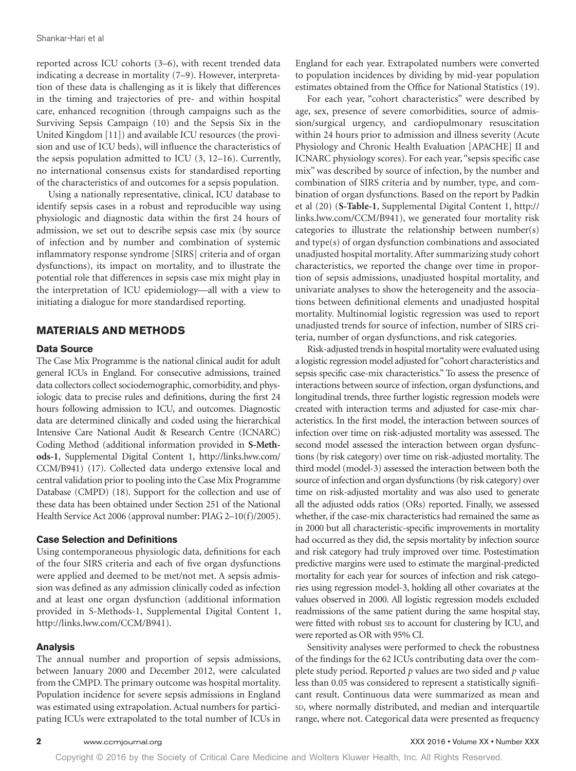reported across ICU cohorts (3–6), with recent trended data indicating a decrease in mortality (7–9). However, interpretation of these data is challenging as it is likely that differences in the timing and trajectories of pre- and within hospital care, enhanced recognition (through campaigns such as the Surviving Sepsis Campaign (10) and the Sepsis Six in the United Kingdom [11]) and available ICU resources (the provision and use of ICU beds), will influence the characteristics of the sepsis population admitted to ICU (3, 12–16). Currently, no international consensus exists for standardised reporting of the characteristics of and outcomes for a sepsis population.

Using a nationally representative, clinical, ICU database to identify sepsis cases in a robust and reproducible way using physiologic and diagnostic data within the first 24 hours of admission, we set out to describe sepsis case mix (by source of infection and by number and combination of systemic inflammatory response syndrome [SIRS] criteria and of organ dysfunctions), its impact on mortality, and to illustrate the potential role that differences in sepsis case mix might play in the interpretation of ICU epidemiology—all with a view to initiating a dialogue for more standardised reporting.

# **MATERIALS AND METHODS**

#### **Data Source**

The Case Mix Programme is the national clinical audit for adult general ICUs in England. For consecutive admissions, trained data collectors collect sociodemographic, comorbidity, and physiologic data to precise rules and definitions, during the first 24 hours following admission to ICU, and outcomes. Diagnostic data are determined clinically and coded using the hierarchical Intensive Care National Audit & Research Centre (ICNARC) Coding Method (additional information provided in **S-Methods-1**, Supplemental Digital Content 1, [http://links.lww.com/](http://links.lww.com/CCM/B941) [CCM/B941](http://links.lww.com/CCM/B941)) (17). Collected data undergo extensive local and central validation prior to pooling into the Case Mix Programme Database (CMPD) (18). Support for the collection and use of these data has been obtained under Section 251 of the National Health Service Act 2006 (approval number: PIAG 2–10(f)/2005).

### **Case Selection and Definitions**

Using contemporaneous physiologic data, definitions for each of the four SIRS criteria and each of five organ dysfunctions were applied and deemed to be met/not met. A sepsis admission was defined as any admission clinically coded as infection and at least one organ dysfunction (additional information provided in S-Methods-1, Supplemental Digital Content 1, <http://links.lww.com/CCM/B941>).

#### **Analysis**

The annual number and proportion of sepsis admissions, between January 2000 and December 2012, were calculated from the CMPD. The primary outcome was hospital mortality. Population incidence for severe sepsis admissions in England was estimated using extrapolation. Actual numbers for participating ICUs were extrapolated to the total number of ICUs in

England for each year. Extrapolated numbers were converted to population incidences by dividing by mid-year population estimates obtained from the Office for National Statistics (19).

For each year, "cohort characteristics" were described by age, sex, presence of severe comorbidities, source of admission/surgical urgency, and cardiopulmonary resuscitation within 24 hours prior to admission and illness severity (Acute Physiology and Chronic Health Evaluation [APACHE] II and ICNARC physiology scores). For each year, "sepsis specific case mix" was described by source of infection, by the number and combination of SIRS criteria and by number, type, and combination of organ dysfunctions. Based on the report by Padkin et al (20) (**[S-Table-1](http:// S-Table-1 )**, Supplemental Digital Content 1, [http://](http://links.lww.com/CCM/B941) [links.lww.com/CCM/B941\)](http://links.lww.com/CCM/B941), we generated four mortality risk categories to illustrate the relationship between number(s) and type(s) of organ dysfunction combinations and associated unadjusted hospital mortality. After summarizing study cohort characteristics, we reported the change over time in proportion of sepsis admissions, unadjusted hospital mortality, and univariate analyses to show the heterogeneity and the associations between definitional elements and unadjusted hospital mortality. Multinomial logistic regression was used to report unadjusted trends for source of infection, number of SIRS criteria, number of organ dysfunctions, and risk categories.

Risk-adjusted trends in hospital mortality were evaluated using a logistic regression model adjusted for "cohort characteristics and sepsis specific case-mix characteristics." To assess the presence of interactions between source of infection, organ dysfunctions, and longitudinal trends, three further logistic regression models were created with interaction terms and adjusted for case-mix characteristics. In the first model, the interaction between sources of infection over time on risk-adjusted mortality was assessed. The second model assessed the interaction between organ dysfunctions (by risk category) over time on risk-adjusted mortality. The third model (model-3) assessed the interaction between both the source of infection and organ dysfunctions (by risk category) over time on risk-adjusted mortality and was also used to generate all the adjusted odds ratios (ORs) reported. Finally, we assessed whether, if the case-mix characteristics had remained the same as in 2000 but all characteristic-specific improvements in mortality had occurred as they did, the sepsis mortality by infection source and risk category had truly improved over time. Postestimation predictive margins were used to estimate the marginal-predicted mortality for each year for sources of infection and risk categories using regression model-3, holding all other covariates at the values observed in 2000. All logistic regression models excluded readmissions of the same patient during the same hospital stay, were fitted with robust ses to account for clustering by ICU, and were reported as OR with 95% CI.

Sensitivity analyses were performed to check the robustness of the findings for the 62 ICUs contributing data over the complete study period. Reported *p* values are two sided and *p* value less than 0.05 was considered to represent a statistically significant result. Continuous data were summarized as mean and sp, where normally distributed, and median and interquartile range, where not. Categorical data were presented as frequency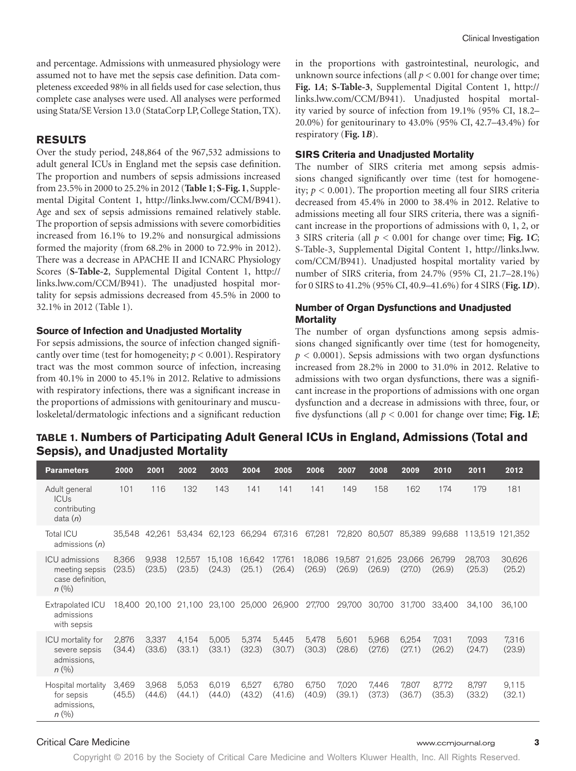and percentage. Admissions with unmeasured physiology were assumed not to have met the sepsis case definition. Data completeness exceeded 98% in all fields used for case selection, thus complete case analyses were used. All analyses were performed using Stata/SE Version 13.0 (StataCorp LP, College Station, TX).

# **RESULTS**

Over the study period, 248,864 of the 967,532 admissions to adult general ICUs in England met the sepsis case definition. The proportion and numbers of sepsis admissions increased from 23.5% in 2000 to 25.2% in 2012 (**Table 1**; **[S-Fig. 1](http:// S-Fig.1 )**, Supplemental Digital Content 1, <http://links.lww.com/CCM/B941>). Age and sex of sepsis admissions remained relatively stable. The proportion of sepsis admissions with severe comorbidities increased from 16.1% to 19.2% and nonsurgical admissions formed the majority (from 68.2% in 2000 to 72.9% in 2012). There was a decrease in APACHE II and ICNARC Physiology Scores (**[S-Table-2](http:// S-Table-2 )**, Supplemental Digital Content 1, [http://](http://links.lww.com/CCM/B941) [links.lww.com/CCM/B941\)](http://links.lww.com/CCM/B941). The unadjusted hospital mortality for sepsis admissions decreased from 45.5% in 2000 to 32.1% in 2012 (Table 1).

#### **Source of Infection and Unadjusted Mortality**

For sepsis admissions, the source of infection changed significantly over time (test for homogeneity; *p* < 0.001). Respiratory tract was the most common source of infection, increasing from 40.1% in 2000 to 45.1% in 2012. Relative to admissions with respiratory infections, there was a significant increase in the proportions of admissions with genitourinary and musculoskeletal/dermatologic infections and a significant reduction in the proportions with gastrointestinal, neurologic, and unknown source infections (all  $p < 0.001$  for change over time; **Fig. 1***A*; **[S-Table-3](http:// S-Table-3 )**, Supplemental Digital Content 1, [http://](http://links.lww.com/CCM/B941) [links.lww.com/CCM/B941\)](http://links.lww.com/CCM/B941). Unadjusted hospital mortality varied by source of infection from 19.1% (95% CI, 18.2– 20.0%) for genitourinary to 43.0% (95% CI, 42.7–43.4%) for respiratory (**Fig. 1***B*).

#### **SIRS Criteria and Unadjusted Mortality**

The number of SIRS criteria met among sepsis admissions changed significantly over time (test for homogeneity;  $p < 0.001$ ). The proportion meeting all four SIRS criteria decreased from 45.4% in 2000 to 38.4% in 2012. Relative to admissions meeting all four SIRS criteria, there was a significant increase in the proportions of admissions with 0, 1, 2, or 3 SIRS criteria (all  $p < 0.001$  for change over time; Fig. 1*C*; S-Table-3, Supplemental Digital Content 1, [http://links.lww.](http://links.lww.com/CCM/B941) [com/CCM/B941](http://links.lww.com/CCM/B941)). Unadjusted hospital mortality varied by number of SIRS criteria, from 24.7% (95% CI, 21.7–28.1%) for 0 SIRS to 41.2% (95% CI, 40.9–41.6%) for 4 SIRS (**Fig. 1***D*).

# **Number of Organ Dysfunctions and Unadjusted Mortality**

The number of organ dysfunctions among sepsis admissions changed significantly over time (test for homogeneity,  $p < 0.0001$ ). Sepsis admissions with two organ dysfunctions increased from 28.2% in 2000 to 31.0% in 2012. Relative to admissions with two organ dysfunctions, there was a significant increase in the proportions of admissions with one organ dysfunction and a decrease in admissions with three, four, or five dysfunctions (all  $p < 0.001$  for change over time; Fig. 1*E*;

**Table 1. Numbers of Participating Adult General ICUs in England, Admissions (Total and Sepsis), and Unadjusted Mortality**

| <b>Parameters</b>                                                     | 2000            | 2001            | 2002             | 2003                 | 2004             | 2005             | 2006             | 2007             | 2008             | 2009             | 2010             | 2011             | 2012             |
|-----------------------------------------------------------------------|-----------------|-----------------|------------------|----------------------|------------------|------------------|------------------|------------------|------------------|------------------|------------------|------------------|------------------|
| Adult general<br><b>ICU<sub>s</sub></b><br>contributing<br>data $(n)$ | 101             | 116             | 132              | 143                  | 141              | 141              | 141              | 149              | 158              | 162              | 174              | 179              | 181              |
| Total ICU<br>admissions $(n)$                                         | 35,548          | 42.261          | 53.434           | 62,123               | 66,294           | 67,316           | 67,281           | 72,820           | 80,507           | 85,389           | 99.688           | 113,519 121,352  |                  |
| ICU admissions<br>meeting sepsis<br>case definition,<br>$n (\%)$      | 8,366<br>(23.5) | 9,938<br>(23.5) | 12,557<br>(23.5) | 15,108<br>(24.3)     | 16,642<br>(25.1) | 17,761<br>(26.4) | 18,086<br>(26.9) | 19,587<br>(26.9) | 21,625<br>(26.9) | 23,066<br>(27.0) | 26,799<br>(26.9) | 28,703<br>(25.3) | 30,626<br>(25.2) |
| Extrapolated ICU<br>admissions<br>with sepsis                         | 18,400          | 20.100          |                  | 21,100 23,100 25,000 |                  | 26,900           | 27,700           | 29,700           | 30,700           | 31,700           | 33,400           | 34,100           | 36,100           |
| ICU mortality for<br>severe sepsis<br>admissions,<br>n (%)            | 2,876<br>(34.4) | 3,337<br>(33.6) | 4,154<br>(33.1)  | 5,005<br>(33.1)      | 5,374<br>(32.3)  | 5,445<br>(30.7)  | 5,478<br>(30.3)  | 5,601<br>(28.6)  | 5,968<br>(27.6)  | 6,254<br>(27.1)  | 7,031<br>(26.2)  | 7,093<br>(24.7)  | 7,316<br>(23.9)  |
| Hospital mortality<br>for sepsis<br>admissions,<br>$n (\% )$          | 3,469<br>(45.5) | 3,968<br>(44.6) | 5,053<br>(44.1)  | 6,019<br>(44.0)      | 6,527<br>(43.2)  | 6,780<br>(41.6)  | 6,750<br>(40.9)  | 7,020<br>(39.1)  | 7,446<br>(37.3)  | 7,807<br>(36.7)  | 8,772<br>(35.3)  | 8,797<br>(33.2)  | 9,115<br>(32.1)  |

#### Critical Care Medicine www.ccmjournal.org **3**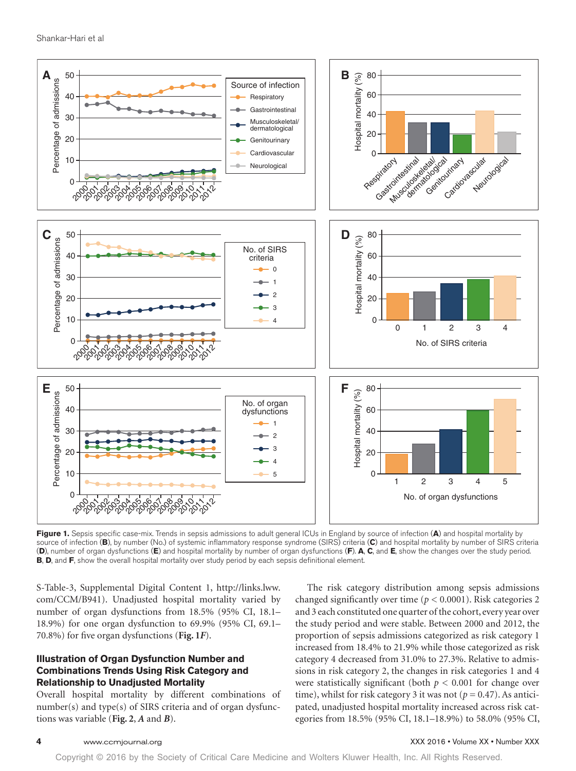

**Figure 1.** Sepsis specific case-mix. Trends in sepsis admissions to adult general ICUs in England by source of infection (**A**) and hospital mortality by source of infection (**B**), by number (No.) of systemic inflammatory response syndrome (SIRS) criteria (**C**) and hospital mortality by number of SIRS criteria (**D**), number of organ dysfunctions (**E**) and hospital mortality by number of organ dysfunctions (**F**). **A**, **C**, and **E**, show the changes over the study period. **B, D,** and **F**, show the overall hospital mortality over study period by each sepsis definitional element.

S-Table-3, Supplemental Digital Content 1, [http://links.lww.](http://links.lww.com/CCM/B941) [com/CCM/B941](http://links.lww.com/CCM/B941)). Unadjusted hospital mortality varied by number of organ dysfunctions from 18.5% (95% CI, 18.1– 18.9%) for one organ dysfunction to 69.9% (95% CI, 69.1– 70.8%) for five organ dysfunctions (**Fig. 1***F*).

# **Illustration of Organ Dysfunction Number and Combinations Trends Using Risk Category and Relationship to Unadjusted Mortality**

Overall hospital mortality by different combinations of number(s) and type(s) of SIRS criteria and of organ dysfunctions was variable (**Fig. 2**, *A* and *B*).

The risk category distribution among sepsis admissions changed significantly over time ( $p < 0.0001$ ). Risk categories 2 and 3 each constituted one quarter of the cohort, every year over the study period and were stable. Between 2000 and 2012, the proportion of sepsis admissions categorized as risk category 1 increased from 18.4% to 21.9% while those categorized as risk category 4 decreased from 31.0% to 27.3%. Relative to admissions in risk category 2, the changes in risk categories 1 and 4 were statistically significant (both  $p < 0.001$  for change over time), whilst for risk category 3 it was not  $(p = 0.47)$ . As anticipated, unadjusted hospital mortality increased across risk categories from 18.5% (95% CI, 18.1–18.9%) to 58.0% (95% CI,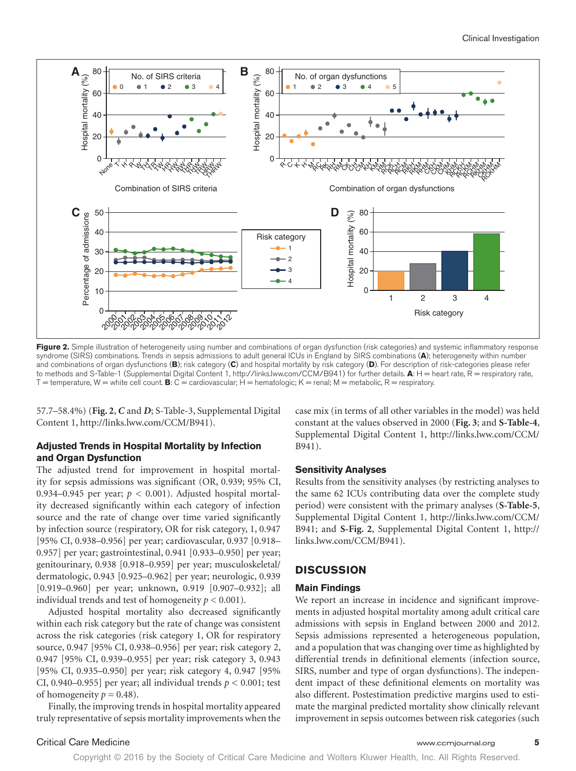

Figure 2. Simple illustration of heterogeneity using number and combinations of organ dysfunction (risk categories) and systemic inflammatory response syndrome (SIRS) combinations. Trends in sepsis admissions to adult general ICUs in England by SIRS combinations (**A**); heterogeneity within number and combinations of organ dysfunctions (**B**); risk category (**C**) and hospital mortality by risk category (**D**). For description of risk-categories please refer to methods and S-Table-1 (Supplemental Digital Content 1,<http://links.lww.com/CCM/B941>) for further details. **A**: H = heart rate, R = respiratory rate,  $T =$  temperature,  $W =$  white cell count. **B**:  $C =$  cardiovascular;  $H =$  hematologic;  $K =$  renal;  $M =$  metabolic,  $R =$  respiratory.

57.7–58.4%) (**Fig. 2**, *C* and *D*; S-Table-3, Supplemental Digital Content 1, [http://links.lww.com/CCM/B941\)](http://links.lww.com/CCM/B941).

# **Adjusted Trends in Hospital Mortality by Infection and Organ Dysfunction**

The adjusted trend for improvement in hospital mortality for sepsis admissions was significant (OR, 0.939; 95% CI, 0.934–0.945 per year;  $p < 0.001$ ). Adjusted hospital mortality decreased significantly within each category of infection source and the rate of change over time varied significantly by infection source (respiratory, OR for risk category, 1, 0.947 [95% CI, 0.938–0.956] per year; cardiovascular, 0.937 [0.918– 0.957] per year; gastrointestinal, 0.941 [0.933–0.950] per year; genitourinary, 0.938 [0.918–0.959] per year; musculoskeletal/ dermatologic, 0.943 [0.925–0.962] per year; neurologic, 0.939 [0.919–0.960] per year; unknown, 0.919 [0.907–0.932]; all individual trends and test of homogeneity  $p < 0.001$ ).

Adjusted hospital mortality also decreased significantly within each risk category but the rate of change was consistent across the risk categories (risk category 1, OR for respiratory source, 0.947 [95% CI, 0.938–0.956] per year; risk category 2, 0.947 [95% CI, 0.939–0.955] per year; risk category 3, 0.943 [95% CI, 0.935–0.950] per year; risk category 4, 0.947 [95% CI, 0.940–0.955] per year; all individual trends *p* < 0.001; test of homogeneity  $p = 0.48$ ).

Finally, the improving trends in hospital mortality appeared truly representative of sepsis mortality improvements when the case mix (in terms of all other variables in the model) was held constant at the values observed in 2000 (**Fig. 3**; and **[S-Table-4](http:// S-Table-4 )**, Supplemental Digital Content 1, [http://links.lww.com/CCM/](http://links.lww.com/CCM/B941) [B941](http://links.lww.com/CCM/B941)).

# **Sensitivity Analyses**

Results from the sensitivity analyses (by restricting analyses to the same 62 ICUs contributing data over the complete study period) were consistent with the primary analyses (**[S-Table-5](http:// S-Table-5 )**, Supplemental Digital Content 1, [http://links.lww.com/CCM/](http://links.lww.com/CCM/B941) [B941](http://links.lww.com/CCM/B941); and **[S-Fig. 2](http:// S-Fig.2 )**, Supplemental Digital Content 1, [http://](http://links.lww.com/CCM/B941) [links.lww.com/CCM/B941\)](http://links.lww.com/CCM/B941).

# **DISCUSSION**

#### **Main Findings**

We report an increase in incidence and significant improvements in adjusted hospital mortality among adult critical care admissions with sepsis in England between 2000 and 2012. Sepsis admissions represented a heterogeneous population, and a population that was changing over time as highlighted by differential trends in definitional elements (infection source, SIRS, number and type of organ dysfunctions). The independent impact of these definitional elements on mortality was also different. Postestimation predictive margins used to estimate the marginal predicted mortality show clinically relevant improvement in sepsis outcomes between risk categories (such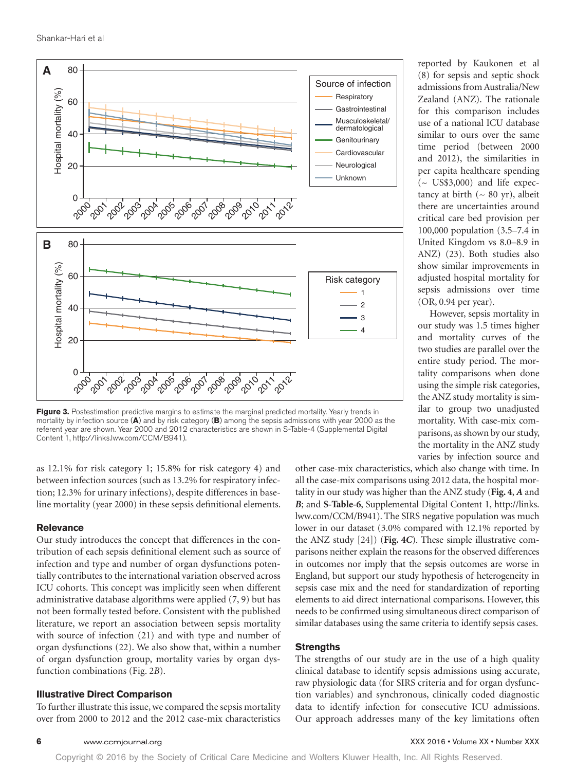

Figure 3. Postestimation predictive margins to estimate the marginal predicted mortality. Yearly trends in mortality by infection source (**A**) and by risk category (**B**) among the sepsis admissions with year 2000 as the referent year are shown. Year 2000 and 2012 characteristics are shown in S-Table-4 (Supplemental Digital Content 1, [http://links.lww.com/CCM/B941\)](http://links.lww.com/CCM/B941).

as 12.1% for risk category 1; 15.8% for risk category 4) and between infection sources (such as 13.2% for respiratory infection; 12.3% for urinary infections), despite differences in baseline mortality (year 2000) in these sepsis definitional elements.

# **Relevance**

Our study introduces the concept that differences in the contribution of each sepsis definitional element such as source of infection and type and number of organ dysfunctions potentially contributes to the international variation observed across ICU cohorts. This concept was implicitly seen when different administrative database algorithms were applied (7, 9) but has not been formally tested before. Consistent with the published literature, we report an association between sepsis mortality with source of infection (21) and with type and number of organ dysfunctions (22). We also show that, within a number of organ dysfunction group, mortality varies by organ dysfunction combinations (Fig. 2*B*).

# **Illustrative Direct Comparison**

To further illustrate this issue, we compared the sepsis mortality over from 2000 to 2012 and the 2012 case-mix characteristics

reported by Kaukonen et al (8) for sepsis and septic shock admissions from Australia/New Zealand (ANZ). The rationale for this comparison includes use of a national ICU database similar to ours over the same time period (between 2000 and 2012), the similarities in per capita healthcare spending  $({\sim}$  US\$3,000) and life expectancy at birth  $({\sim 80 \text{ yr}})$ , albeit there are uncertainties around critical care bed provision per 100,000 population (3.5–7.4 in United Kingdom vs 8.0–8.9 in ANZ) (23). Both studies also show similar improvements in adjusted hospital mortality for sepsis admissions over time (OR, 0.94 per year).

However, sepsis mortality in our study was 1.5 times higher and mortality curves of the two studies are parallel over the entire study period. The mortality comparisons when done using the simple risk categories, the ANZ study mortality is similar to group two unadjusted mortality. With case-mix comparisons, as shown by our study, the mortality in the ANZ study varies by infection source and

other case-mix characteristics, which also change with time. In all the case-mix comparisons using 2012 data, the hospital mortality in our study was higher than the ANZ study (**Fig. 4**, *A* and *B*; and **[S-Table-6](http:// S-Table-6 )**, Supplemental Digital Content 1, [http://links.](http://links.lww.com/CCM/B941) [lww.com/CCM/B941\)](http://links.lww.com/CCM/B941). The SIRS negative population was much lower in our dataset (3.0% compared with 12.1% reported by the ANZ study [24]) (**Fig. 4***C*). These simple illustrative comparisons neither explain the reasons for the observed differences in outcomes nor imply that the sepsis outcomes are worse in England, but support our study hypothesis of heterogeneity in sepsis case mix and the need for standardization of reporting elements to aid direct international comparisons. However, this needs to be confirmed using simultaneous direct comparison of similar databases using the same criteria to identify sepsis cases.

# **Strengths**

The strengths of our study are in the use of a high quality clinical database to identify sepsis admissions using accurate, raw physiologic data (for SIRS criteria and for organ dysfunction variables) and synchronous, clinically coded diagnostic data to identify infection for consecutive ICU admissions. Our approach addresses many of the key limitations often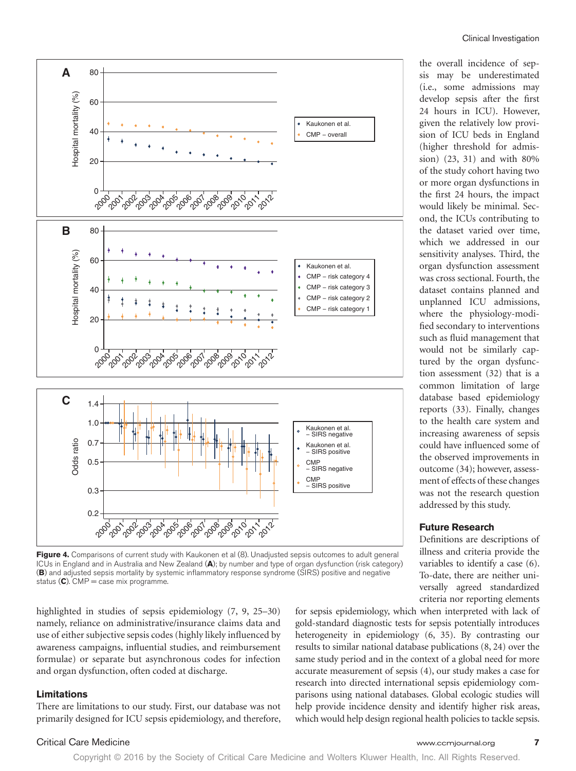

**Figure 4.** Comparisons of current study with Kaukonen et al (8). Unadjusted sepsis outcomes to adult general ICUs in England and in Australia and New Zealand (**A**); by number and type of organ dysfunction (risk category) (**B**) and adjusted sepsis mortality by systemic inflammatory response syndrome (SIRS) positive and negative status (**C**). CMP = case mix programme.

highlighted in studies of sepsis epidemiology (7, 9, 25–30) namely, reliance on administrative/insurance claims data and use of either subjective sepsis codes (highly likely influenced by awareness campaigns, influential studies, and reimbursement formulae) or separate but asynchronous codes for infection and organ dysfunction, often coded at discharge.

# **Limitations**

There are limitations to our study. First, our database was not primarily designed for ICU sepsis epidemiology, and therefore,

the overall incidence of sepsis may be underestimated (i.e., some admissions may develop sepsis after the first 24 hours in ICU). However, given the relatively low provision of ICU beds in England (higher threshold for admission) (23, 31) and with 80% of the study cohort having two or more organ dysfunctions in the first 24 hours, the impact would likely be minimal. Second, the ICUs contributing to the dataset varied over time, which we addressed in our sensitivity analyses. Third, the organ dysfunction assessment was cross sectional. Fourth, the dataset contains planned and unplanned ICU admissions, where the physiology-modified secondary to interventions such as fluid management that would not be similarly captured by the organ dysfunction assessment (32) that is a common limitation of large database based epidemiology reports (33). Finally, changes to the health care system and increasing awareness of sepsis could have influenced some of the observed improvements in outcome (34); however, assessment of effects of these changes was not the research question addressed by this study.

#### **Future Research**

Definitions are descriptions of illness and criteria provide the variables to identify a case (6). To-date, there are neither universally agreed standardized criteria nor reporting elements

for sepsis epidemiology, which when interpreted with lack of gold-standard diagnostic tests for sepsis potentially introduces heterogeneity in epidemiology (6, 35). By contrasting our results to similar national database publications (8, 24) over the same study period and in the context of a global need for more accurate measurement of sepsis (4), our study makes a case for research into directed international sepsis epidemiology comparisons using national databases. Global ecologic studies will help provide incidence density and identify higher risk areas, which would help design regional health policies to tackle sepsis.

# Critical Care Medicine www.ccmjournal.org **7**